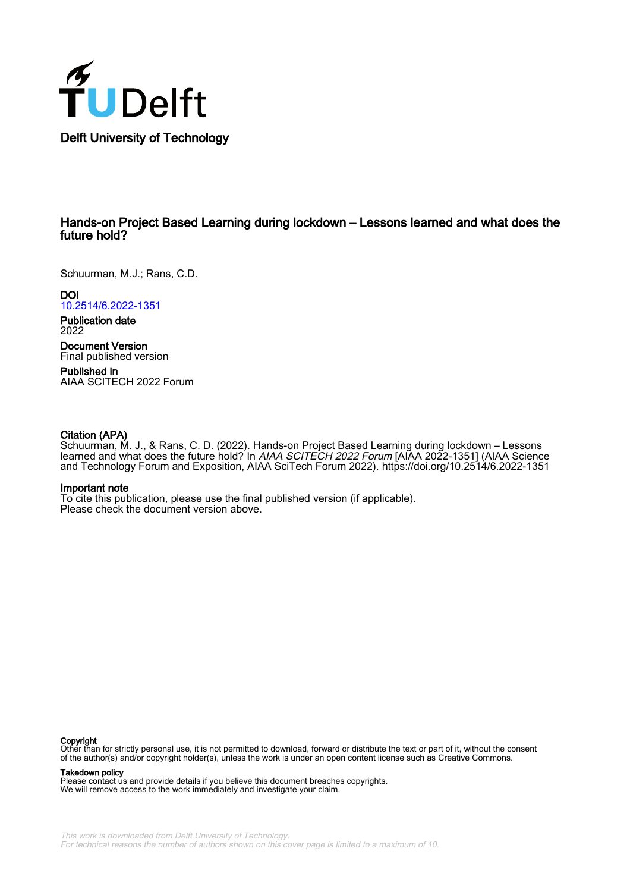

# Hands-on Project Based Learning during lockdown – Lessons learned and what does the future hold?

Schuurman, M.J.; Rans, C.D.

DOI [10.2514/6.2022-1351](https://doi.org/10.2514/6.2022-1351)

Publication date 2022

Document Version Final published version

Published in AIAA SCITECH 2022 Forum

## Citation (APA)

Schuurman, M. J., & Rans, C. D. (2022). Hands-on Project Based Learning during lockdown – Lessons learned and what does the future hold? In *AIAA SCITECH 2022 Forum* [AIAA 2022-1351] (AIAA Science and Technology Forum and Exposition, AIAA SciTech Forum 2022). <https://doi.org/10.2514/6.2022-1351>

#### Important note

To cite this publication, please use the final published version (if applicable). Please check the document version above.

#### Copyright

Other than for strictly personal use, it is not permitted to download, forward or distribute the text or part of it, without the consent of the author(s) and/or copyright holder(s), unless the work is under an open content license such as Creative Commons.

#### Takedown policy

Please contact us and provide details if you believe this document breaches copyrights. We will remove access to the work immediately and investigate your claim.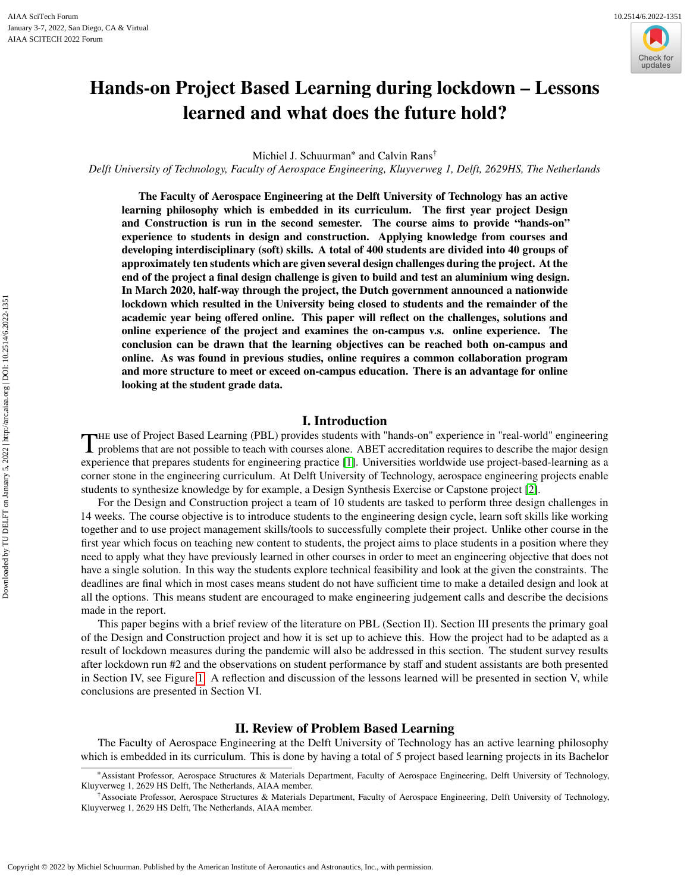

# **Hands-on Project Based Learning during lockdown – Lessons learned and what does the future hold?**

Michiel J. Schuurman<sup>\*</sup> and Calvin Rans<sup>†</sup>

*Delft University of Technology, Faculty of Aerospace Engineering, Kluyverweg 1, Delft, 2629HS, The Netherlands*

**The Faculty of Aerospace Engineering at the Delft University of Technology has an active learning philosophy which is embedded in its curriculum. The first year project Design and Construction is run in the second semester. The course aims to provide "hands-on" experience to students in design and construction. Applying knowledge from courses and developing interdisciplinary (soft) skills. A total of 400 students are divided into 40 groups of approximately ten students which are given several design challenges during the project. At the end of the project a final design challenge is given to build and test an aluminium wing design. In March 2020, half-way through the project, the Dutch government announced a nationwide lockdown which resulted in the University being closed to students and the remainder of the academic year being offered online. This paper will reflect on the challenges, solutions and online experience of the project and examines the on-campus v.s. online experience. The conclusion can be drawn that the learning objectives can be reached both on-campus and online. As was found in previous studies, online requires a common collaboration program and more structure to meet or exceed on-campus education. There is an advantage for online looking at the student grade data.**

# **I. Introduction**

The use of Project Based Learning (PBL) provides students with "hands-on" experience in "real-world" engineering<br>problems that are not possible to teach with courses alone. ABET accreditation requires to describe the major THE use of Project Based Learning (PBL) provides students with "hands-on" experience in "real-world" engineering experience that prepares students for engineering practice [\[1\]](#page-12-0). Universities worldwide use project-based-learning as a corner stone in the engineering curriculum. At Delft University of Technology, aerospace engineering projects enable students to synthesize knowledge by for example, a Design Synthesis Exercise or Capstone project [\[2\]](#page-12-1).

For the Design and Construction project a team of 10 students are tasked to perform three design challenges in 14 weeks. The course objective is to introduce students to the engineering design cycle, learn soft skills like working together and to use project management skills/tools to successfully complete their project. Unlike other course in the first year which focus on teaching new content to students, the project aims to place students in a position where they need to apply what they have previously learned in other courses in order to meet an engineering objective that does not have a single solution. In this way the students explore technical feasibility and look at the given the constraints. The deadlines are final which in most cases means student do not have sufficient time to make a detailed design and look at all the options. This means student are encouraged to make engineering judgement calls and describe the decisions made in the report.

This paper begins with a brief review of the literature on PBL (Section II). Section III presents the primary goal of the Design and Construction project and how it is set up to achieve this. How the project had to be adapted as a result of lockdown measures during the pandemic will also be addressed in this section. The student survey results after lockdown run #2 and the observations on student performance by staff and student assistants are both presented in Section IV, see Figure [1.](#page-2-0) A reflection and discussion of the lessons learned will be presented in section V, while conclusions are presented in Section VI.

# **II. Review of Problem Based Learning**

The Faculty of Aerospace Engineering at the Delft University of Technology has an active learning philosophy which is embedded in its curriculum. This is done by having a total of 5 project based learning projects in its Bachelor

<sup>∗</sup>Assistant Professor, Aerospace Structures & Materials Department, Faculty of Aerospace Engineering, Delft University of Technology, Kluyverweg 1, 2629 HS Delft, The Netherlands, AIAA member.

<sup>†</sup>Associate Professor, Aerospace Structures & Materials Department, Faculty of Aerospace Engineering, Delft University of Technology, Kluyverweg 1, 2629 HS Delft, The Netherlands, AIAA member.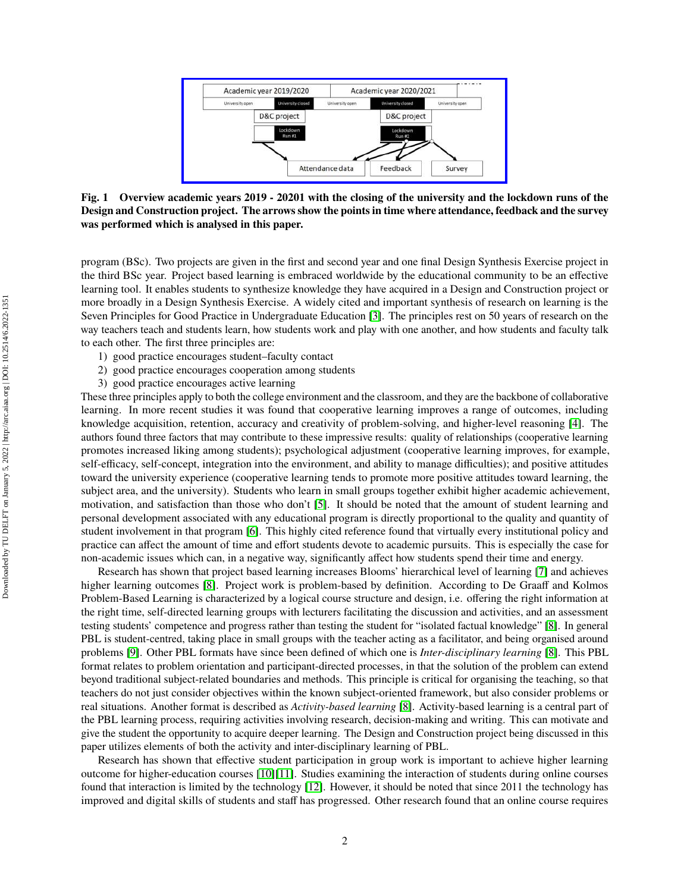<span id="page-2-0"></span>

**Fig. 1 Overview academic years 2019 - 20201 with the closing of the university and the lockdown runs of the Design and Construction project. The arrows show the points in time where attendance, feedback and the survey was performed which is analysed in this paper.**

program (BSc). Two projects are given in the first and second year and one final Design Synthesis Exercise project in the third BSc year. Project based learning is embraced worldwide by the educational community to be an effective learning tool. It enables students to synthesize knowledge they have acquired in a Design and Construction project or more broadly in a Design Synthesis Exercise. A widely cited and important synthesis of research on learning is the Seven Principles for Good Practice in Undergraduate Education [\[3\]](#page-12-2). The principles rest on 50 years of research on the way teachers teach and students learn, how students work and play with one another, and how students and faculty talk to each other. The first three principles are:

- 1) good practice encourages student–faculty contact
- 2) good practice encourages cooperation among students
- 3) good practice encourages active learning

These three principles apply to both the college environment and the classroom, and they are the backbone of collaborative learning. In more recent studies it was found that cooperative learning improves a range of outcomes, including knowledge acquisition, retention, accuracy and creativity of problem-solving, and higher-level reasoning [\[4\]](#page-12-3). The authors found three factors that may contribute to these impressive results: quality of relationships (cooperative learning promotes increased liking among students); psychological adjustment (cooperative learning improves, for example, self-efficacy, self-concept, integration into the environment, and ability to manage difficulties); and positive attitudes toward the university experience (cooperative learning tends to promote more positive attitudes toward learning, the subject area, and the university). Students who learn in small groups together exhibit higher academic achievement, motivation, and satisfaction than those who don't [\[5\]](#page-12-4). It should be noted that the amount of student learning and personal development associated with any educational program is directly proportional to the quality and quantity of student involvement in that program [\[6\]](#page-12-5). This highly cited reference found that virtually every institutional policy and practice can affect the amount of time and effort students devote to academic pursuits. This is especially the case for non-academic issues which can, in a negative way, significantly affect how students spend their time and energy.

Research has shown that project based learning increases Blooms' hierarchical level of learning [\[7\]](#page-12-6) and achieves higher learning outcomes [\[8\]](#page-12-7). Project work is problem-based by definition. According to De Graaff and Kolmos Problem-Based Learning is characterized by a logical course structure and design, i.e. offering the right information at the right time, self-directed learning groups with lecturers facilitating the discussion and activities, and an assessment testing students' competence and progress rather than testing the student for "isolated factual knowledge" [\[8\]](#page-12-7). In general PBL is student-centred, taking place in small groups with the teacher acting as a facilitator, and being organised around problems [\[9\]](#page-12-8). Other PBL formats have since been defined of which one is *Inter-disciplinary learning* [\[8\]](#page-12-7). This PBL format relates to problem orientation and participant-directed processes, in that the solution of the problem can extend beyond traditional subject-related boundaries and methods. This principle is critical for organising the teaching, so that teachers do not just consider objectives within the known subject-oriented framework, but also consider problems or real situations. Another format is described as *Activity-based learning* [\[8\]](#page-12-7). Activity-based learning is a central part of the PBL learning process, requiring activities involving research, decision-making and writing. This can motivate and give the student the opportunity to acquire deeper learning. The Design and Construction project being discussed in this paper utilizes elements of both the activity and inter-disciplinary learning of PBL.

Research has shown that effective student participation in group work is important to achieve higher learning outcome for higher-education courses [\[10\]](#page-12-9)[\[11\]](#page-12-10). Studies examining the interaction of students during online courses found that interaction is limited by the technology [\[12\]](#page-12-11). However, it should be noted that since 2011 the technology has improved and digital skills of students and staff has progressed. Other research found that an online course requires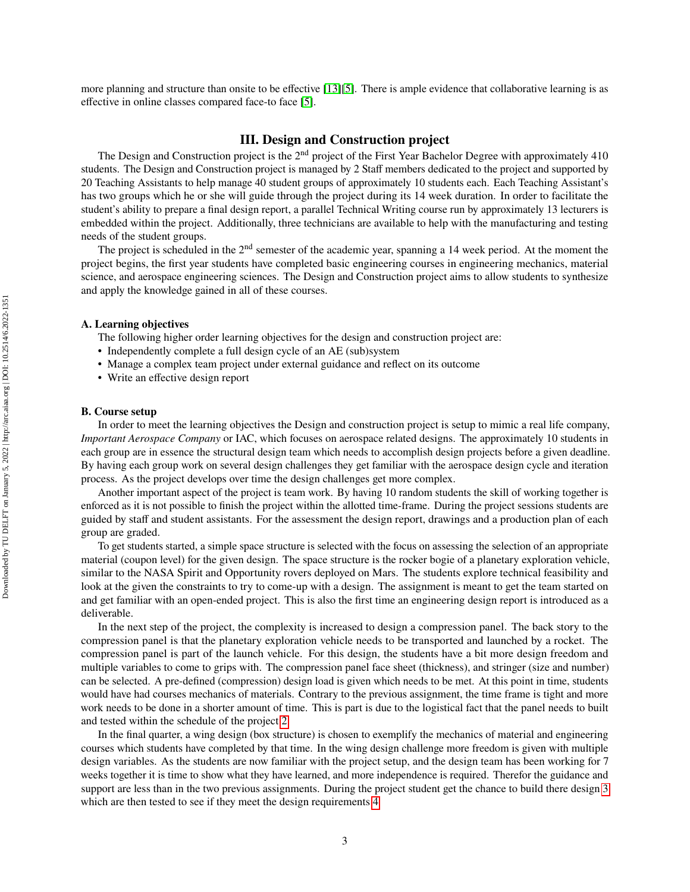more planning and structure than onsite to be effective [\[13\]](#page-12-12)[\[5\]](#page-12-4). There is ample evidence that collaborative learning is as effective in online classes compared face-to face [\[5\]](#page-12-4).

# **III. Design and Construction project**

The Design and Construction project is the  $2<sup>nd</sup>$  project of the First Year Bachelor Degree with approximately 410 students. The Design and Construction project is managed by 2 Staff members dedicated to the project and supported by 20 Teaching Assistants to help manage 40 student groups of approximately 10 students each. Each Teaching Assistant's has two groups which he or she will guide through the project during its 14 week duration. In order to facilitate the student's ability to prepare a final design report, a parallel Technical Writing course run by approximately 13 lecturers is embedded within the project. Additionally, three technicians are available to help with the manufacturing and testing needs of the student groups.

The project is scheduled in the 2<sup>nd</sup> semester of the academic year, spanning a 14 week period. At the moment the project begins, the first year students have completed basic engineering courses in engineering mechanics, material science, and aerospace engineering sciences. The Design and Construction project aims to allow students to synthesize and apply the knowledge gained in all of these courses.

## **A. Learning objectives**

The following higher order learning objectives for the design and construction project are:

- Independently complete a full design cycle of an AE (sub)system
- Manage a complex team project under external guidance and reflect on its outcome
- Write an effective design report

#### **B. Course setup**

In order to meet the learning objectives the Design and construction project is setup to mimic a real life company, *Important Aerospace Company* or IAC, which focuses on aerospace related designs. The approximately 10 students in each group are in essence the structural design team which needs to accomplish design projects before a given deadline. By having each group work on several design challenges they get familiar with the aerospace design cycle and iteration process. As the project develops over time the design challenges get more complex.

Another important aspect of the project is team work. By having 10 random students the skill of working together is enforced as it is not possible to finish the project within the allotted time-frame. During the project sessions students are guided by staff and student assistants. For the assessment the design report, drawings and a production plan of each group are graded.

To get students started, a simple space structure is selected with the focus on assessing the selection of an appropriate material (coupon level) for the given design. The space structure is the rocker bogie of a planetary exploration vehicle, similar to the NASA Spirit and Opportunity rovers deployed on Mars. The students explore technical feasibility and look at the given the constraints to try to come-up with a design. The assignment is meant to get the team started on and get familiar with an open-ended project. This is also the first time an engineering design report is introduced as a deliverable.

In the next step of the project, the complexity is increased to design a compression panel. The back story to the compression panel is that the planetary exploration vehicle needs to be transported and launched by a rocket. The compression panel is part of the launch vehicle. For this design, the students have a bit more design freedom and multiple variables to come to grips with. The compression panel face sheet (thickness), and stringer (size and number) can be selected. A pre-defined (compression) design load is given which needs to be met. At this point in time, students would have had courses mechanics of materials. Contrary to the previous assignment, the time frame is tight and more work needs to be done in a shorter amount of time. This is part is due to the logistical fact that the panel needs to built and tested within the schedule of the project [2.](#page-4-0)

In the final quarter, a wing design (box structure) is chosen to exemplify the mechanics of material and engineering courses which students have completed by that time. In the wing design challenge more freedom is given with multiple design variables. As the students are now familiar with the project setup, and the design team has been working for 7 weeks together it is time to show what they have learned, and more independence is required. Therefor the guidance and support are less than in the two previous assignments. During the project student get the chance to build there design [3](#page-4-1) which are then tested to see if they meet the design requirements [4](#page-5-0)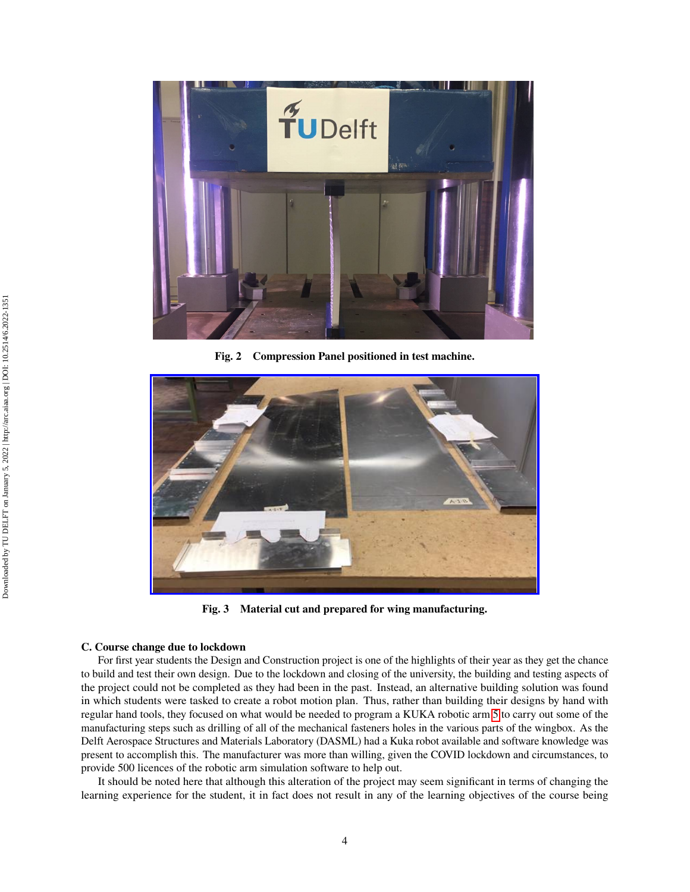<span id="page-4-0"></span>

**Fig. 2 Compression Panel positioned in test machine.**

<span id="page-4-1"></span>

**Fig. 3 Material cut and prepared for wing manufacturing.**

#### **C. Course change due to lockdown**

For first year students the Design and Construction project is one of the highlights of their year as they get the chance to build and test their own design. Due to the lockdown and closing of the university, the building and testing aspects of the project could not be completed as they had been in the past. Instead, an alternative building solution was found in which students were tasked to create a robot motion plan. Thus, rather than building their designs by hand with regular hand tools, they focused on what would be needed to program a KUKA robotic arm [5](#page-5-1) to carry out some of the manufacturing steps such as drilling of all of the mechanical fasteners holes in the various parts of the wingbox. As the Delft Aerospace Structures and Materials Laboratory (DASML) had a Kuka robot available and software knowledge was present to accomplish this. The manufacturer was more than willing, given the COVID lockdown and circumstances, to provide 500 licences of the robotic arm simulation software to help out.

It should be noted here that although this alteration of the project may seem significant in terms of changing the learning experience for the student, it in fact does not result in any of the learning objectives of the course being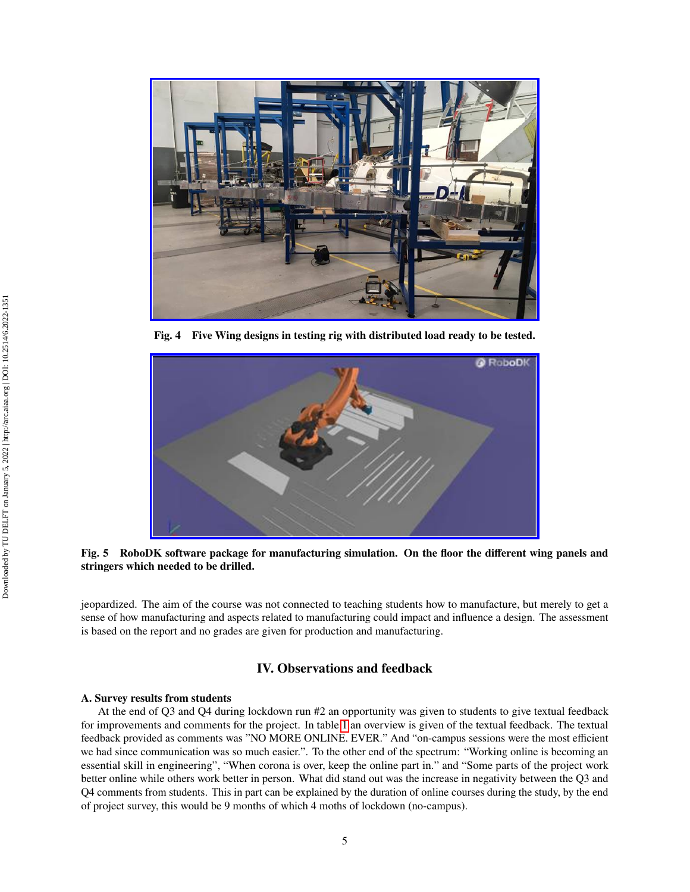<span id="page-5-0"></span>

**Fig. 4 Five Wing designs in testing rig with distributed load ready to be tested.**

<span id="page-5-1"></span>

**Fig. 5 RoboDK software package for manufacturing simulation. On the floor the different wing panels and stringers which needed to be drilled.**

jeopardized. The aim of the course was not connected to teaching students how to manufacture, but merely to get a sense of how manufacturing and aspects related to manufacturing could impact and influence a design. The assessment is based on the report and no grades are given for production and manufacturing.

# **IV. Observations and feedback**

#### **A. Survey results from students**

At the end of Q3 and Q4 during lockdown run #2 an opportunity was given to students to give textual feedback for improvements and comments for the project. In table [1](#page-6-0) an overview is given of the textual feedback. The textual feedback provided as comments was "NO MORE ONLINE. EVER." And "on-campus sessions were the most efficient we had since communication was so much easier.". To the other end of the spectrum: "Working online is becoming an essential skill in engineering", "When corona is over, keep the online part in." and "Some parts of the project work better online while others work better in person. What did stand out was the increase in negativity between the Q3 and Q4 comments from students. This in part can be explained by the duration of online courses during the study, by the end of project survey, this would be 9 months of which 4 moths of lockdown (no-campus).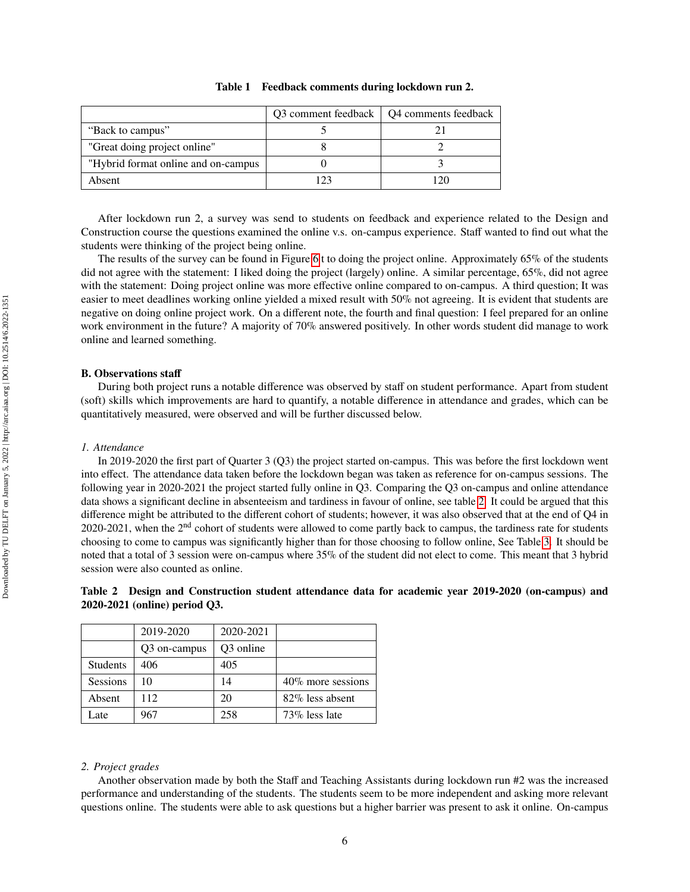<span id="page-6-0"></span>

|                                      | Q3 comment feedback   Q4 comments feedback |
|--------------------------------------|--------------------------------------------|
| "Back to campus"                     |                                            |
| "Great doing project online"         |                                            |
| "Hybrid format online and on-campus" |                                            |
| Absent                               |                                            |

**Table 1 Feedback comments during lockdown run 2.**

After lockdown run 2, a survey was send to students on feedback and experience related to the Design and Construction course the questions examined the online v.s. on-campus experience. Staff wanted to find out what the students were thinking of the project being online.

The results of the survey can be found in Figure [6](#page-7-0) t to doing the project online. Approximately 65% of the students did not agree with the statement: I liked doing the project (largely) online. A similar percentage, 65%, did not agree with the statement: Doing project online was more effective online compared to on-campus. A third question; It was easier to meet deadlines working online yielded a mixed result with 50% not agreeing. It is evident that students are negative on doing online project work. On a different note, the fourth and final question: I feel prepared for an online work environment in the future? A majority of 70% answered positively. In other words student did manage to work online and learned something.

#### **B. Observations staff**

During both project runs a notable difference was observed by staff on student performance. Apart from student (soft) skills which improvements are hard to quantify, a notable difference in attendance and grades, which can be quantitatively measured, were observed and will be further discussed below.

# *1. Attendance*

In 2019-2020 the first part of Quarter 3 (Q3) the project started on-campus. This was before the first lockdown went into effect. The attendance data taken before the lockdown began was taken as reference for on-campus sessions. The following year in 2020-2021 the project started fully online in Q3. Comparing the Q3 on-campus and online attendance data shows a significant decline in absenteeism and tardiness in favour of online, see table [2.](#page-6-1) It could be argued that this difference might be attributed to the different cohort of students; however, it was also observed that at the end of Q4 in 2020-2021, when the 2<sup>nd</sup> cohort of students were allowed to come partly back to campus, the tardiness rate for students choosing to come to campus was significantly higher than for those choosing to follow online, See Table [3.](#page-8-0) It should be noted that a total of 3 session were on-campus where 35% of the student did not elect to come. This meant that 3 hybrid session were also counted as online.

<span id="page-6-1"></span>**Table 2 Design and Construction student attendance data for academic year 2019-2020 (on-campus) and 2020-2021 (online) period Q3.**

|                 | 2019-2020    | 2020-2021             |                      |
|-----------------|--------------|-----------------------|----------------------|
|                 | Q3 on-campus | O <sub>3</sub> online |                      |
| <b>Students</b> | 406          | 405                   |                      |
| Sessions        | 10           | 14                    | $40\%$ more sessions |
| Absent          | 112          | 20                    | 82% less absent      |
| Late            | 967          | 258                   | 73% less late        |

#### *2. Project grades*

Another observation made by both the Staff and Teaching Assistants during lockdown run #2 was the increased performance and understanding of the students. The students seem to be more independent and asking more relevant questions online. The students were able to ask questions but a higher barrier was present to ask it online. On-campus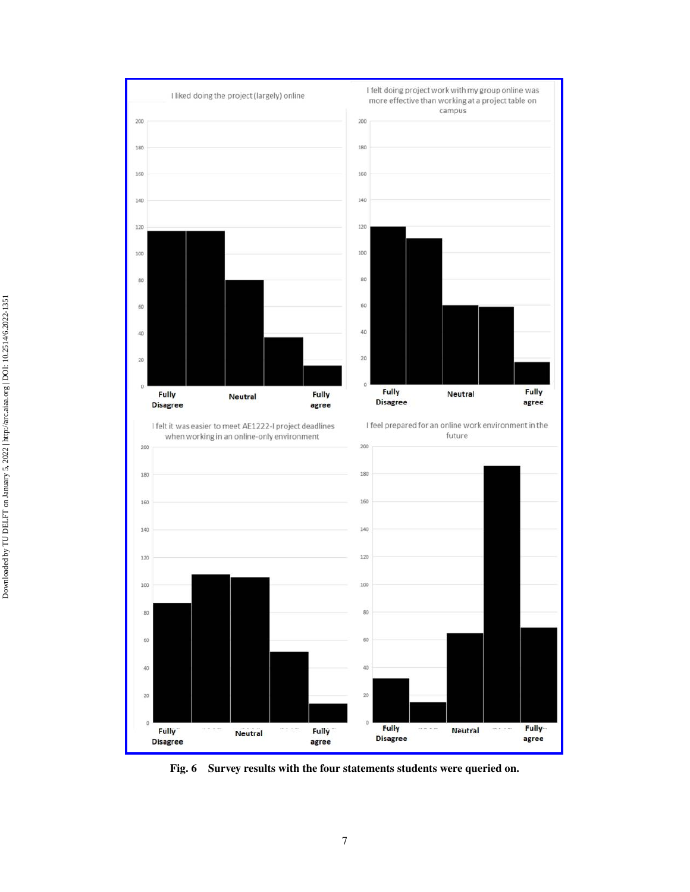<span id="page-7-0"></span>

**Fig. 6 Survey results with the four statements students were queried on.**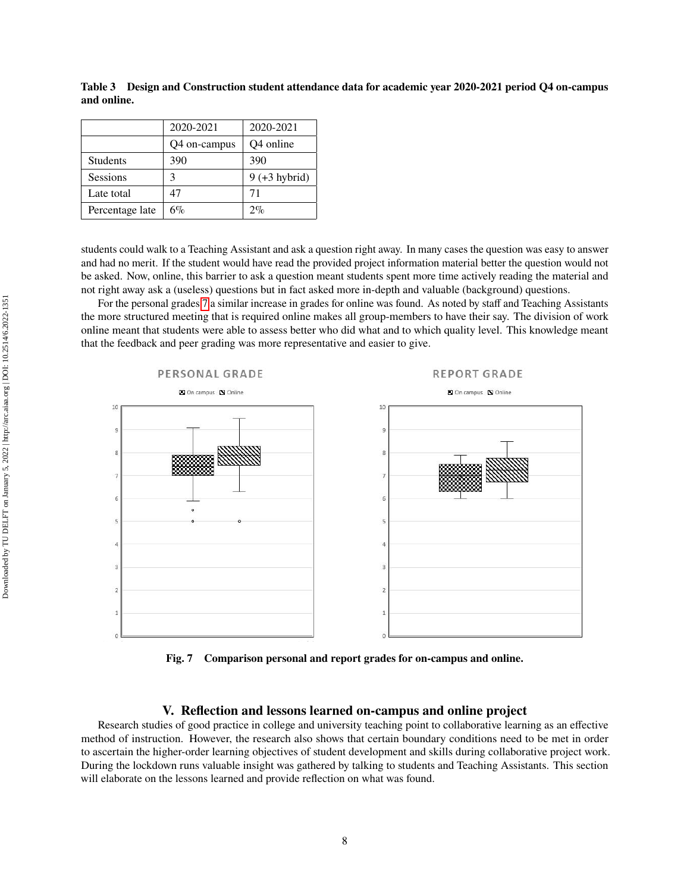|                 | 2020-2021    | 2020-2021       |
|-----------------|--------------|-----------------|
|                 | Q4 on-campus | Q4 online       |
| Students        | 390          | 390             |
| <b>Sessions</b> |              | $9 (+3 hybrid)$ |
| Late total      | 47           | 71              |
| Percentage late | 6%           | 2%              |

<span id="page-8-0"></span>**Table 3 Design and Construction student attendance data for academic year 2020-2021 period Q4 on-campus and online.**

students could walk to a Teaching Assistant and ask a question right away. In many cases the question was easy to answer and had no merit. If the student would have read the provided project information material better the question would not be asked. Now, online, this barrier to ask a question meant students spent more time actively reading the material and not right away ask a (useless) questions but in fact asked more in-depth and valuable (background) questions.

For the personal grades [7](#page-8-1) a similar increase in grades for online was found. As noted by staff and Teaching Assistants the more structured meeting that is required online makes all group-members to have their say. The division of work online meant that students were able to assess better who did what and to which quality level. This knowledge meant that the feedback and peer grading was more representative and easier to give.

<span id="page-8-1"></span>

**Fig. 7 Comparison personal and report grades for on-campus and online.**

# **V. Reflection and lessons learned on-campus and online project**

Research studies of good practice in college and university teaching point to collaborative learning as an effective method of instruction. However, the research also shows that certain boundary conditions need to be met in order to ascertain the higher-order learning objectives of student development and skills during collaborative project work. During the lockdown runs valuable insight was gathered by talking to students and Teaching Assistants. This section will elaborate on the lessons learned and provide reflection on what was found.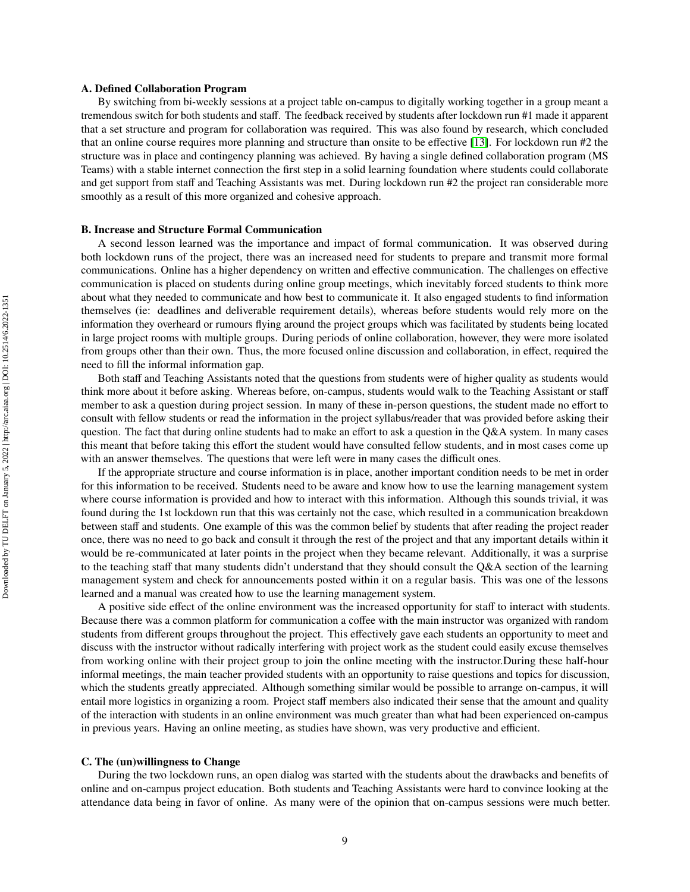#### **A. Defined Collaboration Program**

By switching from bi-weekly sessions at a project table on-campus to digitally working together in a group meant a tremendous switch for both students and staff. The feedback received by students after lockdown run #1 made it apparent that a set structure and program for collaboration was required. This was also found by research, which concluded that an online course requires more planning and structure than onsite to be effective [\[13\]](#page-12-12). For lockdown run #2 the structure was in place and contingency planning was achieved. By having a single defined collaboration program (MS Teams) with a stable internet connection the first step in a solid learning foundation where students could collaborate and get support from staff and Teaching Assistants was met. During lockdown run #2 the project ran considerable more smoothly as a result of this more organized and cohesive approach.

## **B. Increase and Structure Formal Communication**

A second lesson learned was the importance and impact of formal communication. It was observed during both lockdown runs of the project, there was an increased need for students to prepare and transmit more formal communications. Online has a higher dependency on written and effective communication. The challenges on effective communication is placed on students during online group meetings, which inevitably forced students to think more about what they needed to communicate and how best to communicate it. It also engaged students to find information themselves (ie: deadlines and deliverable requirement details), whereas before students would rely more on the information they overheard or rumours flying around the project groups which was facilitated by students being located in large project rooms with multiple groups. During periods of online collaboration, however, they were more isolated from groups other than their own. Thus, the more focused online discussion and collaboration, in effect, required the need to fill the informal information gap.

Both staff and Teaching Assistants noted that the questions from students were of higher quality as students would think more about it before asking. Whereas before, on-campus, students would walk to the Teaching Assistant or staff member to ask a question during project session. In many of these in-person questions, the student made no effort to consult with fellow students or read the information in the project syllabus/reader that was provided before asking their question. The fact that during online students had to make an effort to ask a question in the Q&A system. In many cases this meant that before taking this effort the student would have consulted fellow students, and in most cases come up with an answer themselves. The questions that were left were in many cases the difficult ones.

If the appropriate structure and course information is in place, another important condition needs to be met in order for this information to be received. Students need to be aware and know how to use the learning management system where course information is provided and how to interact with this information. Although this sounds trivial, it was found during the 1st lockdown run that this was certainly not the case, which resulted in a communication breakdown between staff and students. One example of this was the common belief by students that after reading the project reader once, there was no need to go back and consult it through the rest of the project and that any important details within it would be re-communicated at later points in the project when they became relevant. Additionally, it was a surprise to the teaching staff that many students didn't understand that they should consult the Q&A section of the learning management system and check for announcements posted within it on a regular basis. This was one of the lessons learned and a manual was created how to use the learning management system.

A positive side effect of the online environment was the increased opportunity for staff to interact with students. Because there was a common platform for communication a coffee with the main instructor was organized with random students from different groups throughout the project. This effectively gave each students an opportunity to meet and discuss with the instructor without radically interfering with project work as the student could easily excuse themselves from working online with their project group to join the online meeting with the instructor.During these half-hour informal meetings, the main teacher provided students with an opportunity to raise questions and topics for discussion, which the students greatly appreciated. Although something similar would be possible to arrange on-campus, it will entail more logistics in organizing a room. Project staff members also indicated their sense that the amount and quality of the interaction with students in an online environment was much greater than what had been experienced on-campus in previous years. Having an online meeting, as studies have shown, was very productive and efficient.

#### **C. The (un)willingness to Change**

During the two lockdown runs, an open dialog was started with the students about the drawbacks and benefits of online and on-campus project education. Both students and Teaching Assistants were hard to convince looking at the attendance data being in favor of online. As many were of the opinion that on-campus sessions were much better.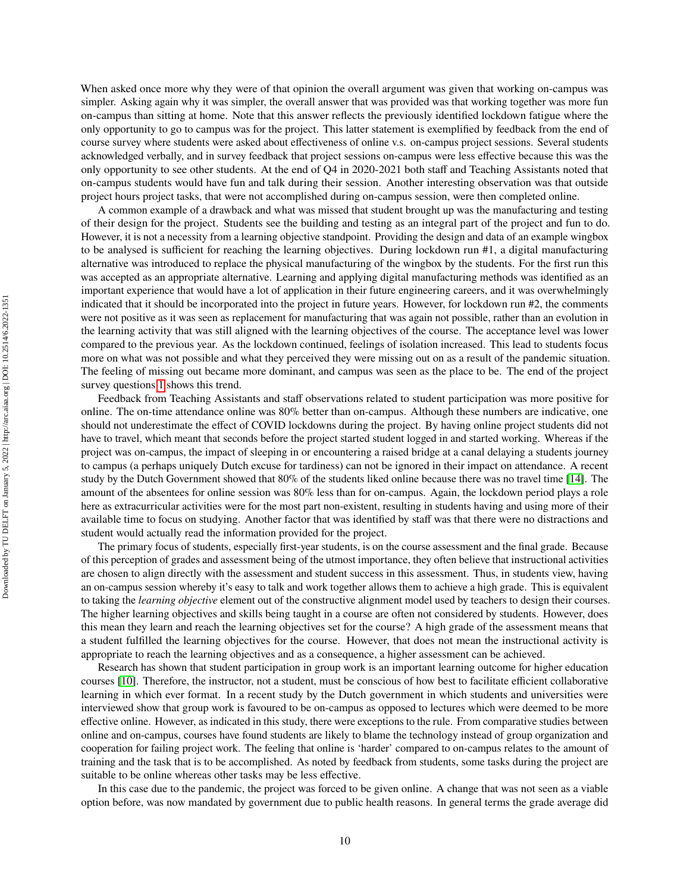When asked once more why they were of that opinion the overall argument was given that working on-campus was simpler. Asking again why it was simpler, the overall answer that was provided was that working together was more fun on-campus than sitting at home. Note that this answer reflects the previously identified lockdown fatigue where the only opportunity to go to campus was for the project. This latter statement is exemplified by feedback from the end of course survey where students were asked about effectiveness of online v.s. on-campus project sessions. Several students acknowledged verbally, and in survey feedback that project sessions on-campus were less effective because this was the only opportunity to see other students. At the end of Q4 in 2020-2021 both staff and Teaching Assistants noted that on-campus students would have fun and talk during their session. Another interesting observation was that outside project hours project tasks, that were not accomplished during on-campus session, were then completed online.

A common example of a drawback and what was missed that student brought up was the manufacturing and testing of their design for the project. Students see the building and testing as an integral part of the project and fun to do. However, it is not a necessity from a learning objective standpoint. Providing the design and data of an example wingbox to be analysed is sufficient for reaching the learning objectives. During lockdown run #1, a digital manufacturing alternative was introduced to replace the physical manufacturing of the wingbox by the students. For the first run this was accepted as an appropriate alternative. Learning and applying digital manufacturing methods was identified as an important experience that would have a lot of application in their future engineering careers, and it was overwhelmingly indicated that it should be incorporated into the project in future years. However, for lockdown run #2, the comments were not positive as it was seen as replacement for manufacturing that was again not possible, rather than an evolution in the learning activity that was still aligned with the learning objectives of the course. The acceptance level was lower compared to the previous year. As the lockdown continued, feelings of isolation increased. This lead to students focus more on what was not possible and what they perceived they were missing out on as a result of the pandemic situation. The feeling of missing out became more dominant, and campus was seen as the place to be. The end of the project survey questions [1](#page-6-0) shows this trend.

Feedback from Teaching Assistants and staff observations related to student participation was more positive for online. The on-time attendance online was 80% better than on-campus. Although these numbers are indicative, one should not underestimate the effect of COVID lockdowns during the project. By having online project students did not have to travel, which meant that seconds before the project started student logged in and started working. Whereas if the project was on-campus, the impact of sleeping in or encountering a raised bridge at a canal delaying a students journey to campus (a perhaps uniquely Dutch excuse for tardiness) can not be ignored in their impact on attendance. A recent study by the Dutch Government showed that 80% of the students liked online because there was no travel time [\[14\]](#page-12-13). The amount of the absentees for online session was 80% less than for on-campus. Again, the lockdown period plays a role here as extracurricular activities were for the most part non-existent, resulting in students having and using more of their available time to focus on studying. Another factor that was identified by staff was that there were no distractions and student would actually read the information provided for the project.

The primary focus of students, especially first-year students, is on the course assessment and the final grade. Because of this perception of grades and assessment being of the utmost importance, they often believe that instructional activities are chosen to align directly with the assessment and student success in this assessment. Thus, in students view, having an on-campus session whereby it's easy to talk and work together allows them to achieve a high grade. This is equivalent to taking the *learning objective* element out of the constructive alignment model used by teachers to design their courses. The higher learning objectives and skills being taught in a course are often not considered by students. However, does this mean they learn and reach the learning objectives set for the course? A high grade of the assessment means that a student fulfilled the learning objectives for the course. However, that does not mean the instructional activity is appropriate to reach the learning objectives and as a consequence, a higher assessment can be achieved.

Research has shown that student participation in group work is an important learning outcome for higher education courses [\[10\]](#page-12-9). Therefore, the instructor, not a student, must be conscious of how best to facilitate efficient collaborative learning in which ever format. In a recent study by the Dutch government in which students and universities were interviewed show that group work is favoured to be on-campus as opposed to lectures which were deemed to be more effective online. However, as indicated in this study, there were exceptions to the rule. From comparative studies between online and on-campus, courses have found students are likely to blame the technology instead of group organization and cooperation for failing project work. The feeling that online is 'harder' compared to on-campus relates to the amount of training and the task that is to be accomplished. As noted by feedback from students, some tasks during the project are suitable to be online whereas other tasks may be less effective.

In this case due to the pandemic, the project was forced to be given online. A change that was not seen as a viable option before, was now mandated by government due to public health reasons. In general terms the grade average did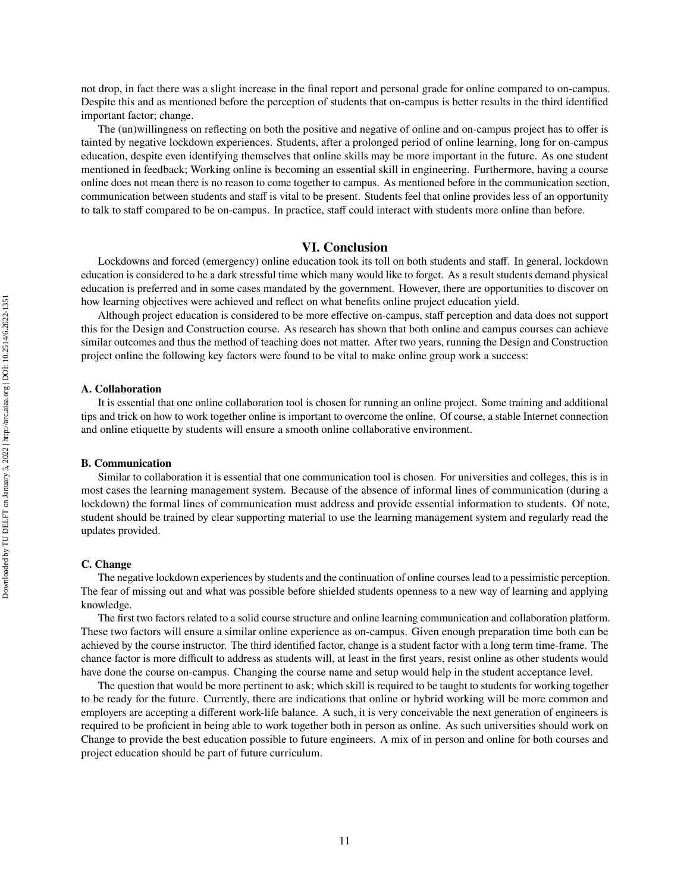not drop, in fact there was a slight increase in the final report and personal grade for online compared to on-campus. Despite this and as mentioned before the perception of students that on-campus is better results in the third identified important factor; change.

The (un)willingness on reflecting on both the positive and negative of online and on-campus project has to offer is tainted by negative lockdown experiences. Students, after a prolonged period of online learning, long for on-campus education, despite even identifying themselves that online skills may be more important in the future. As one student mentioned in feedback; Working online is becoming an essential skill in engineering. Furthermore, having a course online does not mean there is no reason to come together to campus. As mentioned before in the communication section, communication between students and staff is vital to be present. Students feel that online provides less of an opportunity to talk to staff compared to be on-campus. In practice, staff could interact with students more online than before.

# **VI. Conclusion**

Lockdowns and forced (emergency) online education took its toll on both students and staff. In general, lockdown education is considered to be a dark stressful time which many would like to forget. As a result students demand physical education is preferred and in some cases mandated by the government. However, there are opportunities to discover on how learning objectives were achieved and reflect on what benefits online project education yield.

Although project education is considered to be more effective on-campus, staff perception and data does not support this for the Design and Construction course. As research has shown that both online and campus courses can achieve similar outcomes and thus the method of teaching does not matter. After two years, running the Design and Construction project online the following key factors were found to be vital to make online group work a success:

#### **A. Collaboration**

It is essential that one online collaboration tool is chosen for running an online project. Some training and additional tips and trick on how to work together online is important to overcome the online. Of course, a stable Internet connection and online etiquette by students will ensure a smooth online collaborative environment.

#### **B. Communication**

Similar to collaboration it is essential that one communication tool is chosen. For universities and colleges, this is in most cases the learning management system. Because of the absence of informal lines of communication (during a lockdown) the formal lines of communication must address and provide essential information to students. Of note, student should be trained by clear supporting material to use the learning management system and regularly read the updates provided.

#### **C. Change**

The negative lockdown experiences by students and the continuation of online courses lead to a pessimistic perception. The fear of missing out and what was possible before shielded students openness to a new way of learning and applying knowledge.

The first two factors related to a solid course structure and online learning communication and collaboration platform. These two factors will ensure a similar online experience as on-campus. Given enough preparation time both can be achieved by the course instructor. The third identified factor, change is a student factor with a long term time-frame. The chance factor is more difficult to address as students will, at least in the first years, resist online as other students would have done the course on-campus. Changing the course name and setup would help in the student acceptance level.

The question that would be more pertinent to ask; which skill is required to be taught to students for working together to be ready for the future. Currently, there are indications that online or hybrid working will be more common and employers are accepting a different work-life balance. A such, it is very conceivable the next generation of engineers is required to be proficient in being able to work together both in person as online. As such universities should work on Change to provide the best education possible to future engineers. A mix of in person and online for both courses and project education should be part of future curriculum.